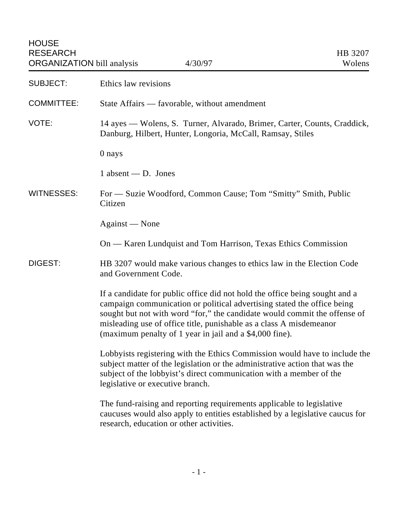| <b>SUBJECT:</b>   | Ethics law revisions                                                                                                                                                                                                                                                                                                                                                  |
|-------------------|-----------------------------------------------------------------------------------------------------------------------------------------------------------------------------------------------------------------------------------------------------------------------------------------------------------------------------------------------------------------------|
| <b>COMMITTEE:</b> | State Affairs — favorable, without amendment                                                                                                                                                                                                                                                                                                                          |
| VOTE:             | 14 ayes — Wolens, S. Turner, Alvarado, Brimer, Carter, Counts, Craddick,<br>Danburg, Hilbert, Hunter, Longoria, McCall, Ramsay, Stiles                                                                                                                                                                                                                                |
|                   | 0 nays                                                                                                                                                                                                                                                                                                                                                                |
|                   | $1$ absent — D. Jones                                                                                                                                                                                                                                                                                                                                                 |
| <b>WITNESSES:</b> | For — Suzie Woodford, Common Cause; Tom "Smitty" Smith, Public<br>Citizen                                                                                                                                                                                                                                                                                             |
|                   | Against — None                                                                                                                                                                                                                                                                                                                                                        |
|                   | On — Karen Lundquist and Tom Harrison, Texas Ethics Commission                                                                                                                                                                                                                                                                                                        |
| DIGEST:           | HB 3207 would make various changes to ethics law in the Election Code<br>and Government Code.                                                                                                                                                                                                                                                                         |
|                   | If a candidate for public office did not hold the office being sought and a<br>campaign communication or political advertising stated the office being<br>sought but not with word "for," the candidate would commit the offense of<br>misleading use of office title, punishable as a class A misdemeanor<br>(maximum penalty of 1 year in jail and a \$4,000 fine). |
|                   | Lobbyists registering with the Ethics Commission would have to include the<br>subject matter of the legislation or the administrative action that was the<br>subject of the lobbyist's direct communication with a member of the<br>legislative or executive branch.                                                                                                  |
|                   | The fund-raising and reporting requirements applicable to legislative<br>caucuses would also apply to entities established by a legislative caucus for<br>research, education or other activities.                                                                                                                                                                    |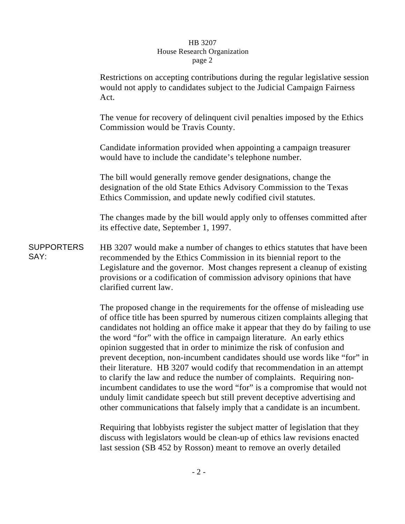## HB 3207 House Research Organization page 2

|                           | Restrictions on accepting contributions during the regular legislative session<br>would not apply to candidates subject to the Judicial Campaign Fairness<br>Act.                                                                                                                                                                |
|---------------------------|----------------------------------------------------------------------------------------------------------------------------------------------------------------------------------------------------------------------------------------------------------------------------------------------------------------------------------|
|                           | The venue for recovery of delinquent civil penalties imposed by the Ethics<br>Commission would be Travis County.                                                                                                                                                                                                                 |
|                           | Candidate information provided when appointing a campaign treasurer<br>would have to include the candidate's telephone number.                                                                                                                                                                                                   |
|                           | The bill would generally remove gender designations, change the<br>designation of the old State Ethics Advisory Commission to the Texas<br>Ethics Commission, and update newly codified civil statutes.                                                                                                                          |
|                           | The changes made by the bill would apply only to offenses committed after<br>its effective date, September 1, 1997.                                                                                                                                                                                                              |
| <b>SUPPORTERS</b><br>SAY: | HB 3207 would make a number of changes to ethics statutes that have been<br>recommended by the Ethics Commission in its biennial report to the<br>Legislature and the governor. Most changes represent a cleanup of existing<br>provisions or a codification of commission advisory opinions that have<br>clarified current law. |
|                           | The proposed change in the requirements for the offense of misleading use<br>of office title has been spurred by numerous citizen complaints alleging that<br>candidates not holding an office make it appear that they do by failing to use<br>the word "for" with the office in campaign literature. An early ethics           |

Requiring that lobbyists register the subject matter of legislation that they discuss with legislators would be clean-up of ethics law revisions enacted last session (SB 452 by Rosson) meant to remove an overly detailed

opinion suggested that in order to minimize the risk of confusion and

prevent deception, non-incumbent candidates should use words like "for" in their literature. HB 3207 would codify that recommendation in an attempt to clarify the law and reduce the number of complaints. Requiring nonincumbent candidates to use the word "for" is a compromise that would not unduly limit candidate speech but still prevent deceptive advertising and other communications that falsely imply that a candidate is an incumbent.